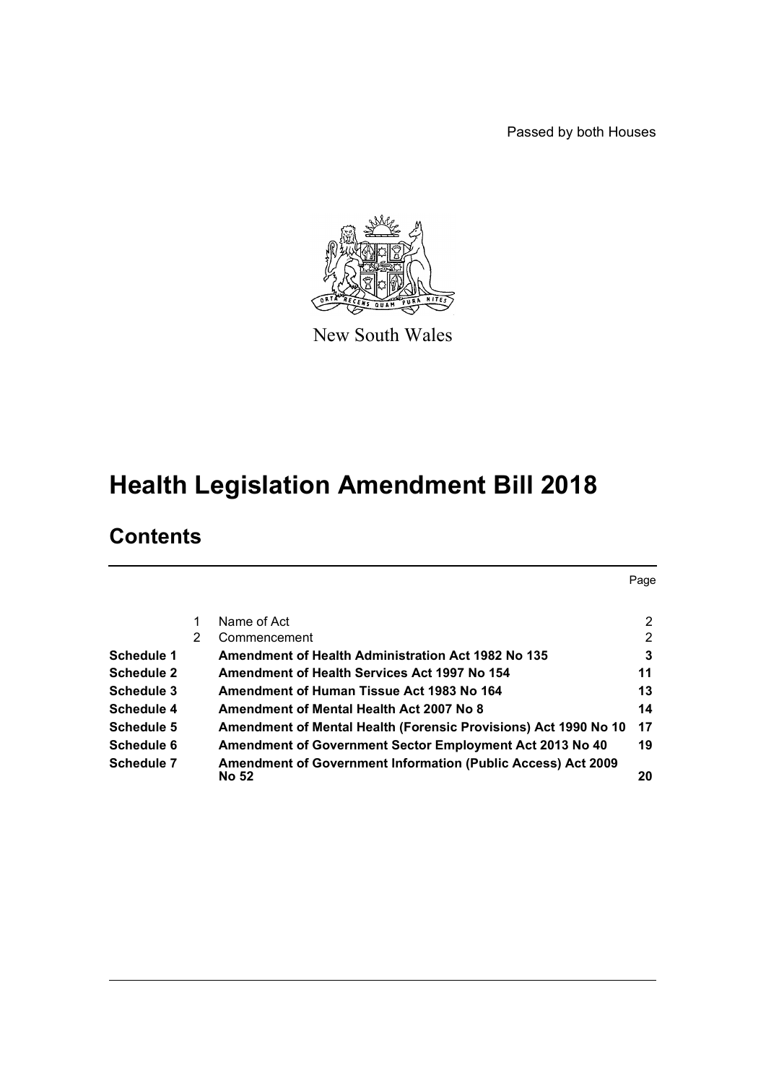Passed by both Houses



New South Wales

# **Health Legislation Amendment Bill 2018**

# **Contents**

|                   |   |                                                                                     | Page           |
|-------------------|---|-------------------------------------------------------------------------------------|----------------|
|                   |   | Name of Act                                                                         | 2              |
|                   | 2 | Commencement                                                                        | $\overline{2}$ |
| Schedule 1        |   | Amendment of Health Administration Act 1982 No 135                                  | 3              |
| <b>Schedule 2</b> |   | Amendment of Health Services Act 1997 No 154                                        | 11             |
| Schedule 3        |   | Amendment of Human Tissue Act 1983 No 164                                           | 13             |
| Schedule 4        |   | Amendment of Mental Health Act 2007 No 8                                            | 14             |
| Schedule 5        |   | Amendment of Mental Health (Forensic Provisions) Act 1990 No 10                     | 17             |
| Schedule 6        |   | Amendment of Government Sector Employment Act 2013 No 40                            | 19             |
| Schedule 7        |   | <b>Amendment of Government Information (Public Access) Act 2009</b><br><b>No 52</b> | 20             |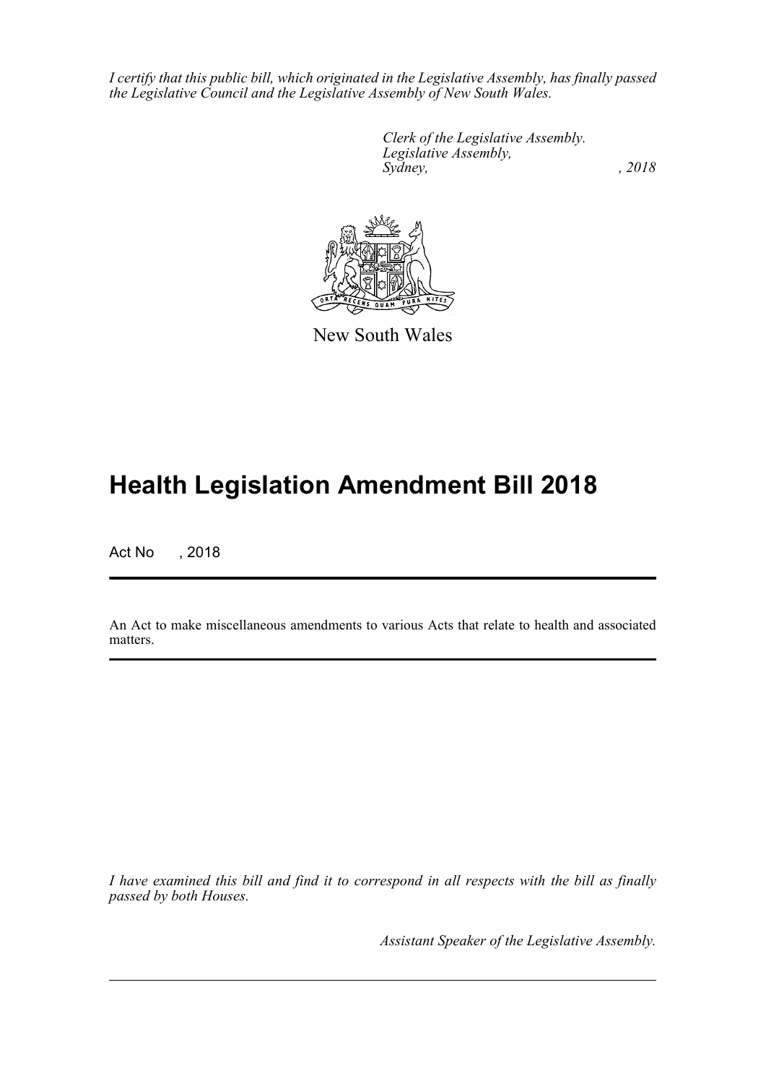*I certify that this public bill, which originated in the Legislative Assembly, has finally passed the Legislative Council and the Legislative Assembly of New South Wales.*

> *Clerk of the Legislative Assembly. Legislative Assembly, Sydney, , 2018*



New South Wales

# **Health Legislation Amendment Bill 2018**

Act No , 2018

An Act to make miscellaneous amendments to various Acts that relate to health and associated matters.

*I have examined this bill and find it to correspond in all respects with the bill as finally passed by both Houses.*

*Assistant Speaker of the Legislative Assembly.*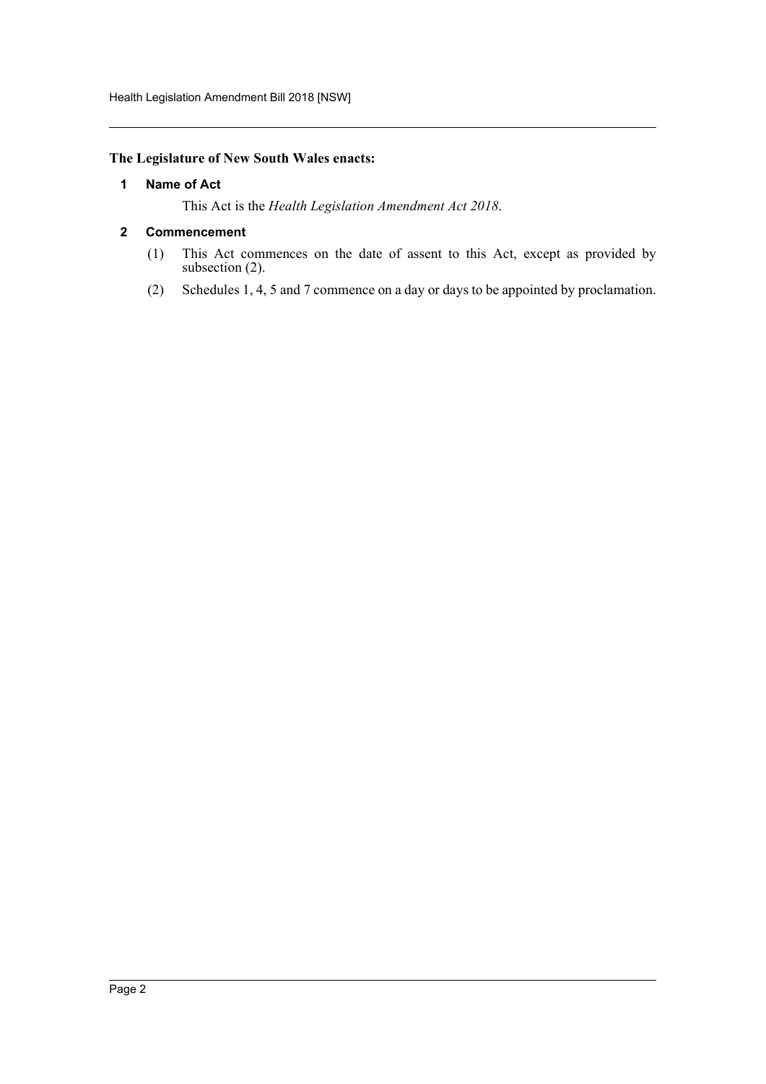# <span id="page-2-0"></span>**The Legislature of New South Wales enacts:**

# **1 Name of Act**

This Act is the *Health Legislation Amendment Act 2018*.

# <span id="page-2-1"></span>**2 Commencement**

- (1) This Act commences on the date of assent to this Act, except as provided by subsection (2).
- (2) Schedules 1, 4, 5 and 7 commence on a day or days to be appointed by proclamation.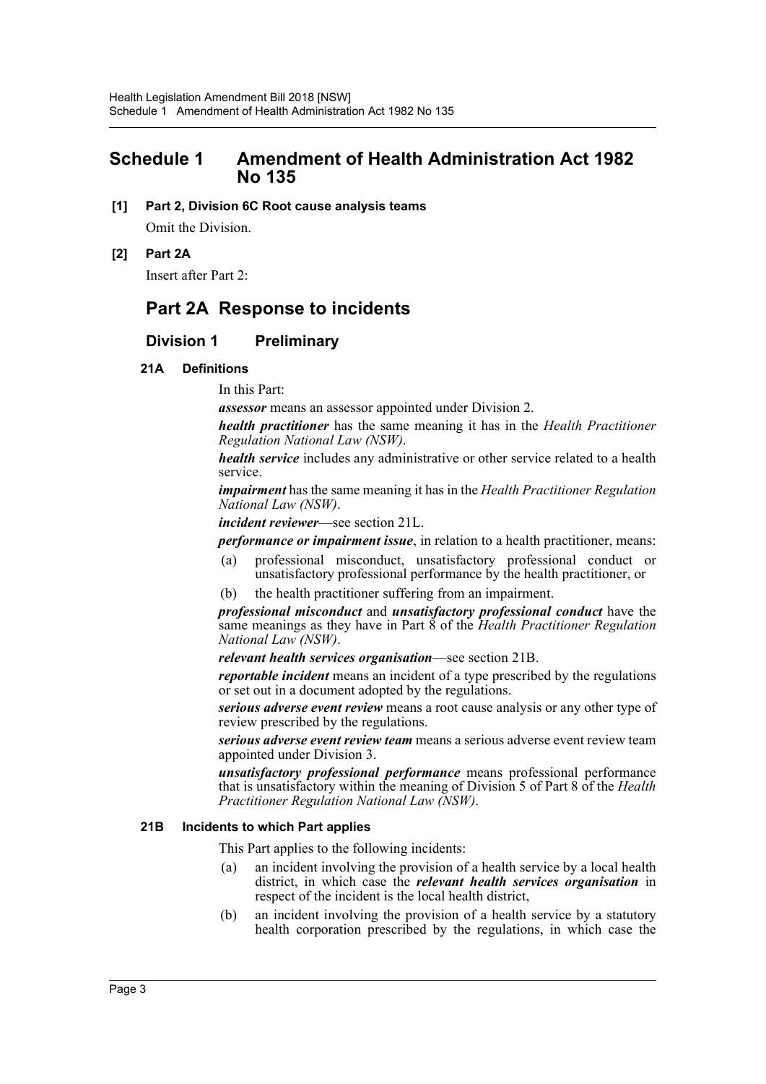# <span id="page-3-0"></span>**Schedule 1 Amendment of Health Administration Act 1982 No 135**

- **[1] Part 2, Division 6C Root cause analysis teams** Omit the Division.
- **[2] Part 2A**

Insert after Part 2:

# **Part 2A Response to incidents**

# **Division 1 Preliminary**

## **21A Definitions**

In this Part:

*assessor* means an assessor appointed under Division 2.

*health practitioner* has the same meaning it has in the *Health Practitioner Regulation National Law (NSW)*.

*health service* includes any administrative or other service related to a health service.

*impairment* has the same meaning it has in the *Health Practitioner Regulation National Law (NSW)*.

*incident reviewer*—see section 21L.

*performance or impairment issue*, in relation to a health practitioner, means:

- (a) professional misconduct, unsatisfactory professional conduct or unsatisfactory professional performance by the health practitioner, or
- (b) the health practitioner suffering from an impairment.

*professional misconduct* and *unsatisfactory professional conduct* have the same meanings as they have in Part 8 of the *Health Practitioner Regulation National Law (NSW)*.

*relevant health services organisation*—see section 21B.

*reportable incident* means an incident of a type prescribed by the regulations or set out in a document adopted by the regulations.

*serious adverse event review* means a root cause analysis or any other type of review prescribed by the regulations.

*serious adverse event review team* means a serious adverse event review team appointed under Division 3.

*unsatisfactory professional performance* means professional performance that is unsatisfactory within the meaning of Division 5 of Part 8 of the *Health Practitioner Regulation National Law (NSW)*.

## **21B Incidents to which Part applies**

This Part applies to the following incidents:

- (a) an incident involving the provision of a health service by a local health district, in which case the *relevant health services organisation* in respect of the incident is the local health district,
- (b) an incident involving the provision of a health service by a statutory health corporation prescribed by the regulations, in which case the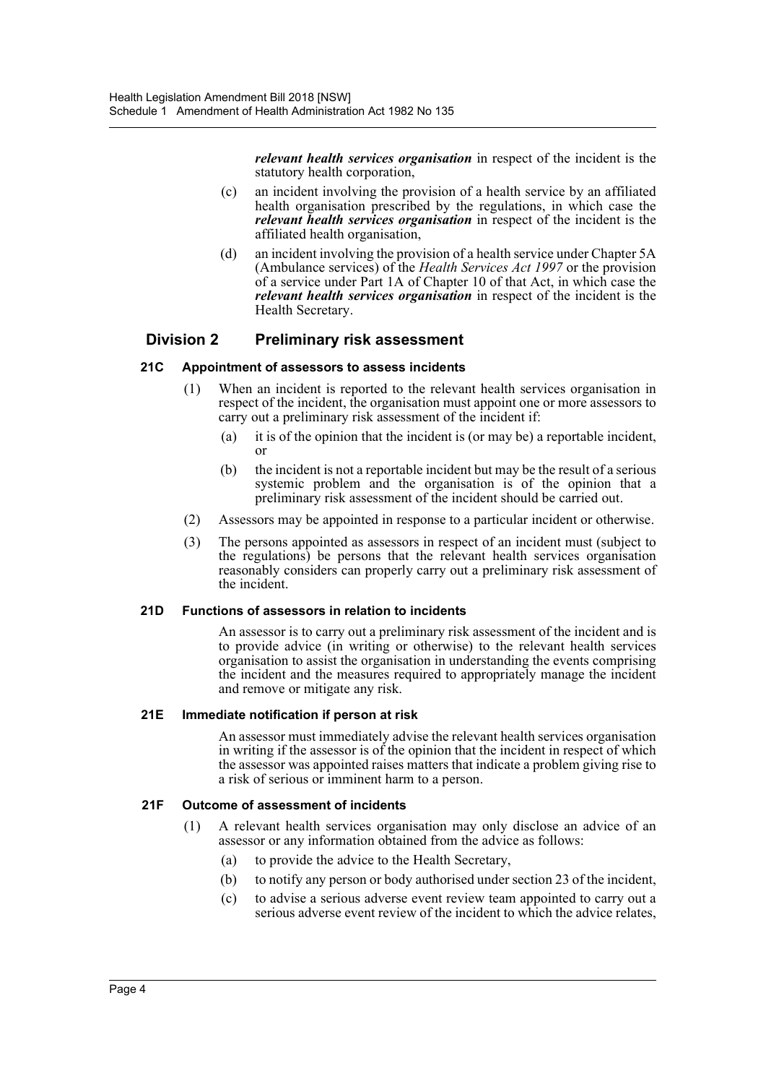*relevant health services organisation* in respect of the incident is the statutory health corporation,

- (c) an incident involving the provision of a health service by an affiliated health organisation prescribed by the regulations, in which case the *relevant health services organisation* in respect of the incident is the affiliated health organisation,
- (d) an incident involving the provision of a health service under Chapter 5A (Ambulance services) of the *Health Services Act 1997* or the provision of a service under Part 1A of Chapter 10 of that Act, in which case the *relevant health services organisation* in respect of the incident is the Health Secretary.

# **Division 2 Preliminary risk assessment**

## **21C Appointment of assessors to assess incidents**

- (1) When an incident is reported to the relevant health services organisation in respect of the incident, the organisation must appoint one or more assessors to carry out a preliminary risk assessment of the incident if:
	- (a) it is of the opinion that the incident is (or may be) a reportable incident, or
	- (b) the incident is not a reportable incident but may be the result of a serious systemic problem and the organisation is of the opinion that a preliminary risk assessment of the incident should be carried out.
- (2) Assessors may be appointed in response to a particular incident or otherwise.
- (3) The persons appointed as assessors in respect of an incident must (subject to the regulations) be persons that the relevant health services organisation reasonably considers can properly carry out a preliminary risk assessment of the incident.

## **21D Functions of assessors in relation to incidents**

An assessor is to carry out a preliminary risk assessment of the incident and is to provide advice (in writing or otherwise) to the relevant health services organisation to assist the organisation in understanding the events comprising the incident and the measures required to appropriately manage the incident and remove or mitigate any risk.

## **21E Immediate notification if person at risk**

An assessor must immediately advise the relevant health services organisation in writing if the assessor is of the opinion that the incident in respect of which the assessor was appointed raises matters that indicate a problem giving rise to a risk of serious or imminent harm to a person.

## **21F Outcome of assessment of incidents**

- (1) A relevant health services organisation may only disclose an advice of an assessor or any information obtained from the advice as follows:
	- (a) to provide the advice to the Health Secretary,
	- (b) to notify any person or body authorised under section 23 of the incident,
	- (c) to advise a serious adverse event review team appointed to carry out a serious adverse event review of the incident to which the advice relates,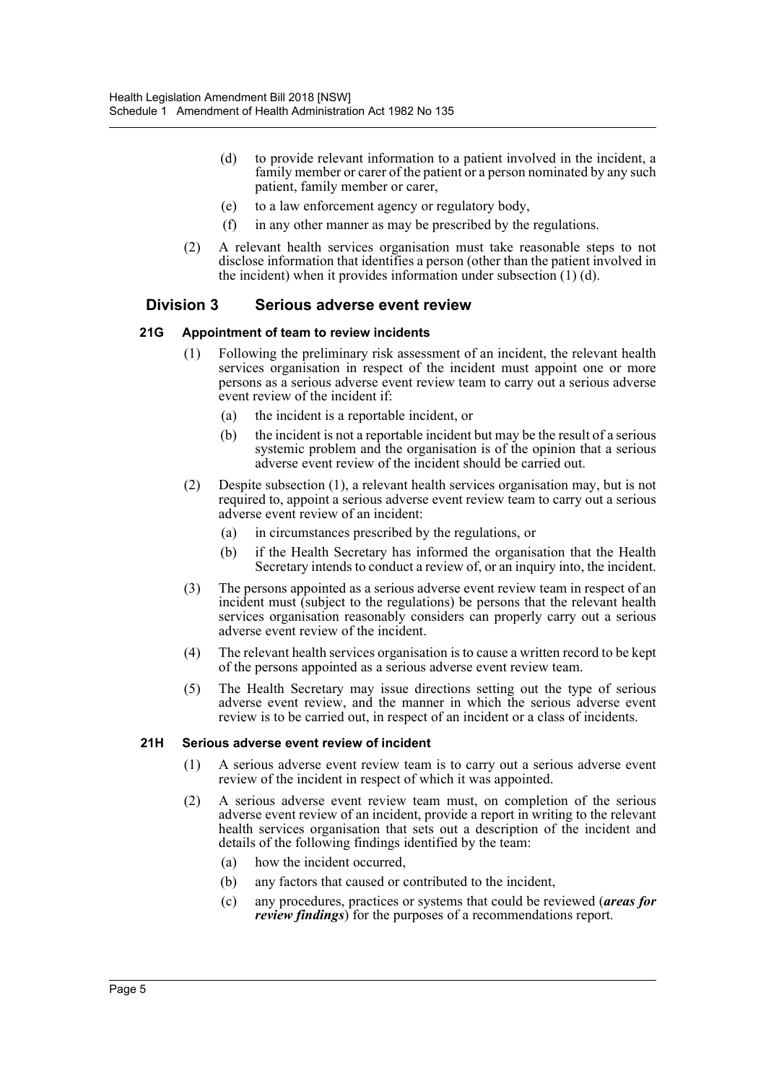- (d) to provide relevant information to a patient involved in the incident, a family member or carer of the patient or a person nominated by any such patient, family member or carer,
- (e) to a law enforcement agency or regulatory body,
- (f) in any other manner as may be prescribed by the regulations.
- (2) A relevant health services organisation must take reasonable steps to not disclose information that identifies a person (other than the patient involved in the incident) when it provides information under subsection (1) (d).

# **Division 3 Serious adverse event review**

#### **21G Appointment of team to review incidents**

- (1) Following the preliminary risk assessment of an incident, the relevant health services organisation in respect of the incident must appoint one or more persons as a serious adverse event review team to carry out a serious adverse event review of the incident if:
	- (a) the incident is a reportable incident, or
	- (b) the incident is not a reportable incident but may be the result of a serious systemic problem and the organisation is of the opinion that a serious adverse event review of the incident should be carried out.
- (2) Despite subsection (1), a relevant health services organisation may, but is not required to, appoint a serious adverse event review team to carry out a serious adverse event review of an incident:
	- (a) in circumstances prescribed by the regulations, or
	- (b) if the Health Secretary has informed the organisation that the Health Secretary intends to conduct a review of, or an inquiry into, the incident.
- (3) The persons appointed as a serious adverse event review team in respect of an incident must (subject to the regulations) be persons that the relevant health services organisation reasonably considers can properly carry out a serious adverse event review of the incident.
- (4) The relevant health services organisation is to cause a written record to be kept of the persons appointed as a serious adverse event review team.
- (5) The Health Secretary may issue directions setting out the type of serious adverse event review, and the manner in which the serious adverse event review is to be carried out, in respect of an incident or a class of incidents.

#### **21H Serious adverse event review of incident**

- (1) A serious adverse event review team is to carry out a serious adverse event review of the incident in respect of which it was appointed.
- (2) A serious adverse event review team must, on completion of the serious adverse event review of an incident, provide a report in writing to the relevant health services organisation that sets out a description of the incident and details of the following findings identified by the team:
	- (a) how the incident occurred,
	- (b) any factors that caused or contributed to the incident,
	- (c) any procedures, practices or systems that could be reviewed (*areas for review findings*) for the purposes of a recommendations report.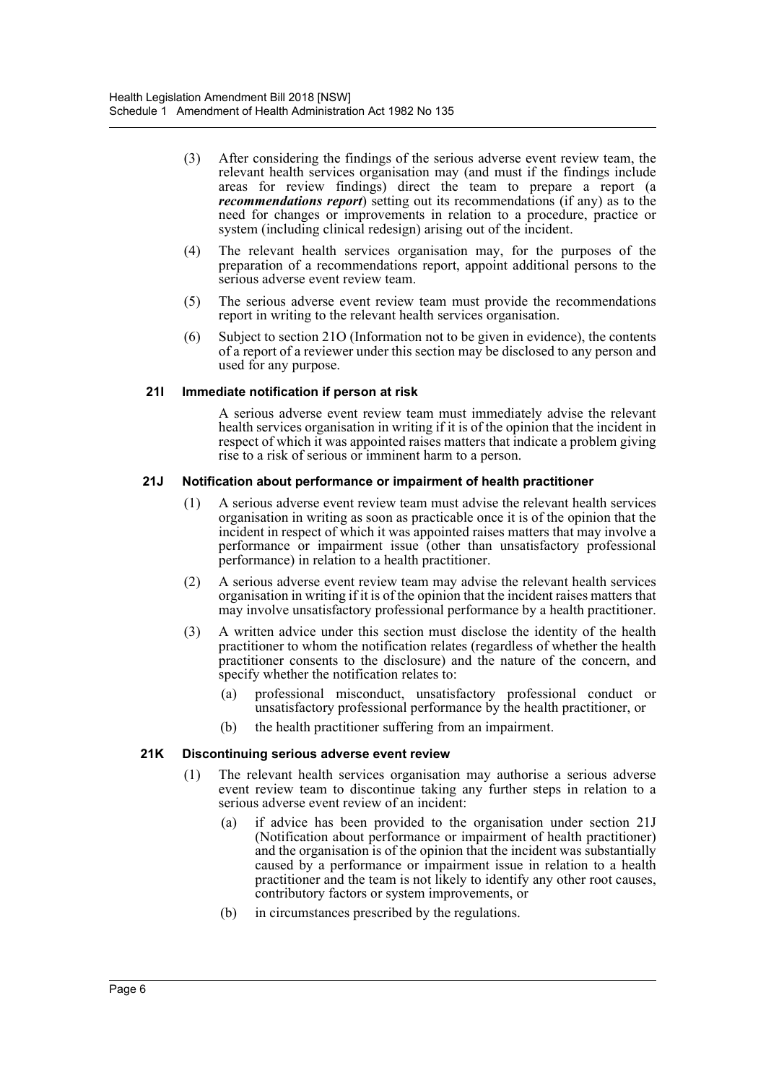- (3) After considering the findings of the serious adverse event review team, the relevant health services organisation may (and must if the findings include areas for review findings) direct the team to prepare a report (a *recommendations report*) setting out its recommendations (if any) as to the need for changes or improvements in relation to a procedure, practice or system (including clinical redesign) arising out of the incident.
- (4) The relevant health services organisation may, for the purposes of the preparation of a recommendations report, appoint additional persons to the serious adverse event review team.
- (5) The serious adverse event review team must provide the recommendations report in writing to the relevant health services organisation.
- (6) Subject to section 21O (Information not to be given in evidence), the contents of a report of a reviewer under this section may be disclosed to any person and used for any purpose.

## **21I Immediate notification if person at risk**

A serious adverse event review team must immediately advise the relevant health services organisation in writing if it is of the opinion that the incident in respect of which it was appointed raises matters that indicate a problem giving rise to a risk of serious or imminent harm to a person.

#### **21J Notification about performance or impairment of health practitioner**

- (1) A serious adverse event review team must advise the relevant health services organisation in writing as soon as practicable once it is of the opinion that the incident in respect of which it was appointed raises matters that may involve a performance or impairment issue (other than unsatisfactory professional performance) in relation to a health practitioner.
- (2) A serious adverse event review team may advise the relevant health services organisation in writing if it is of the opinion that the incident raises matters that may involve unsatisfactory professional performance by a health practitioner.
- (3) A written advice under this section must disclose the identity of the health practitioner to whom the notification relates (regardless of whether the health practitioner consents to the disclosure) and the nature of the concern, and specify whether the notification relates to:
	- (a) professional misconduct, unsatisfactory professional conduct or unsatisfactory professional performance by the health practitioner, or
	- (b) the health practitioner suffering from an impairment.

#### **21K Discontinuing serious adverse event review**

- (1) The relevant health services organisation may authorise a serious adverse event review team to discontinue taking any further steps in relation to a serious adverse event review of an incident:
	- (a) if advice has been provided to the organisation under section 21J (Notification about performance or impairment of health practitioner) and the organisation is of the opinion that the incident was substantially caused by a performance or impairment issue in relation to a health practitioner and the team is not likely to identify any other root causes, contributory factors or system improvements, or
	- (b) in circumstances prescribed by the regulations.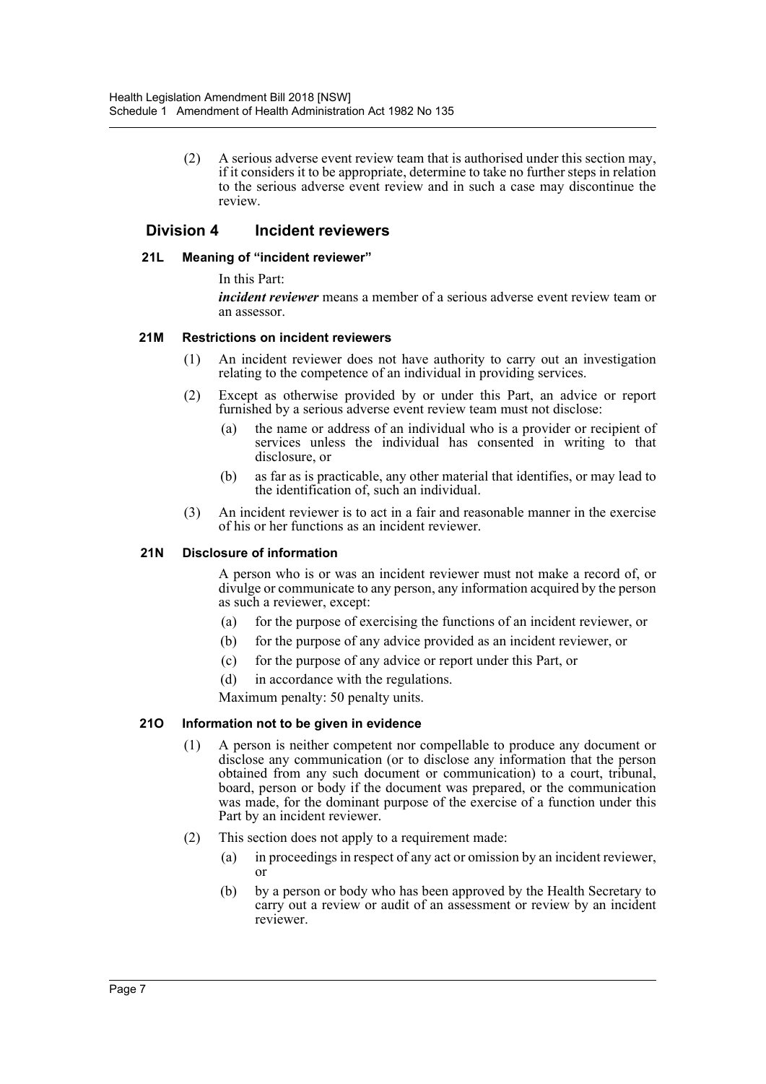(2) A serious adverse event review team that is authorised under this section may, if it considers it to be appropriate, determine to take no further steps in relation to the serious adverse event review and in such a case may discontinue the review.

# **Division 4 Incident reviewers**

## **21L Meaning of "incident reviewer"**

In this Part:

*incident reviewer* means a member of a serious adverse event review team or an assessor.

#### **21M Restrictions on incident reviewers**

- (1) An incident reviewer does not have authority to carry out an investigation relating to the competence of an individual in providing services.
- (2) Except as otherwise provided by or under this Part, an advice or report furnished by a serious adverse event review team must not disclose:
	- (a) the name or address of an individual who is a provider or recipient of services unless the individual has consented in writing to that disclosure, or
	- (b) as far as is practicable, any other material that identifies, or may lead to the identification of, such an individual.
- (3) An incident reviewer is to act in a fair and reasonable manner in the exercise of his or her functions as an incident reviewer.

## **21N Disclosure of information**

A person who is or was an incident reviewer must not make a record of, or divulge or communicate to any person, any information acquired by the person as such a reviewer, except:

- (a) for the purpose of exercising the functions of an incident reviewer, or
- (b) for the purpose of any advice provided as an incident reviewer, or
- (c) for the purpose of any advice or report under this Part, or
- (d) in accordance with the regulations.

Maximum penalty: 50 penalty units.

#### **21O Information not to be given in evidence**

- (1) A person is neither competent nor compellable to produce any document or disclose any communication (or to disclose any information that the person obtained from any such document or communication) to a court, tribunal, board, person or body if the document was prepared, or the communication was made, for the dominant purpose of the exercise of a function under this Part by an incident reviewer.
- (2) This section does not apply to a requirement made:
	- (a) in proceedings in respect of any act or omission by an incident reviewer, or
	- (b) by a person or body who has been approved by the Health Secretary to carry out a review or audit of an assessment or review by an incident reviewer.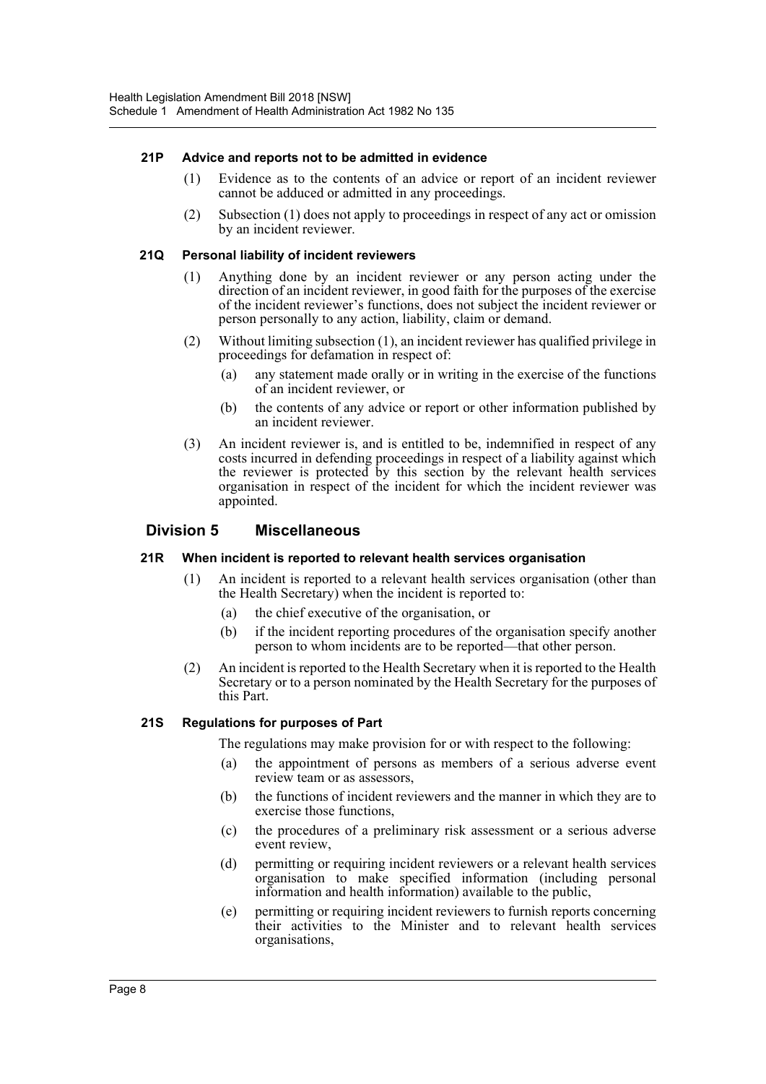# **21P Advice and reports not to be admitted in evidence**

- (1) Evidence as to the contents of an advice or report of an incident reviewer cannot be adduced or admitted in any proceedings.
- (2) Subsection (1) does not apply to proceedings in respect of any act or omission by an incident reviewer.

## **21Q Personal liability of incident reviewers**

- (1) Anything done by an incident reviewer or any person acting under the direction of an incident reviewer, in good faith for the purposes of the exercise of the incident reviewer's functions, does not subject the incident reviewer or person personally to any action, liability, claim or demand.
- (2) Without limiting subsection (1), an incident reviewer has qualified privilege in proceedings for defamation in respect of:
	- (a) any statement made orally or in writing in the exercise of the functions of an incident reviewer, or
	- (b) the contents of any advice or report or other information published by an incident reviewer.
- (3) An incident reviewer is, and is entitled to be, indemnified in respect of any costs incurred in defending proceedings in respect of a liability against which the reviewer is protected by this section by the relevant health services organisation in respect of the incident for which the incident reviewer was appointed.

# **Division 5 Miscellaneous**

## **21R When incident is reported to relevant health services organisation**

- (1) An incident is reported to a relevant health services organisation (other than the Health Secretary) when the incident is reported to:
	- (a) the chief executive of the organisation, or
	- (b) if the incident reporting procedures of the organisation specify another person to whom incidents are to be reported—that other person.
- (2) An incident is reported to the Health Secretary when it is reported to the Health Secretary or to a person nominated by the Health Secretary for the purposes of this Part.

## **21S Regulations for purposes of Part**

The regulations may make provision for or with respect to the following:

- (a) the appointment of persons as members of a serious adverse event review team or as assessors,
- (b) the functions of incident reviewers and the manner in which they are to exercise those functions,
- (c) the procedures of a preliminary risk assessment or a serious adverse event review,
- (d) permitting or requiring incident reviewers or a relevant health services organisation to make specified information (including personal information and health information) available to the public,
- (e) permitting or requiring incident reviewers to furnish reports concerning their activities to the Minister and to relevant health services organisations,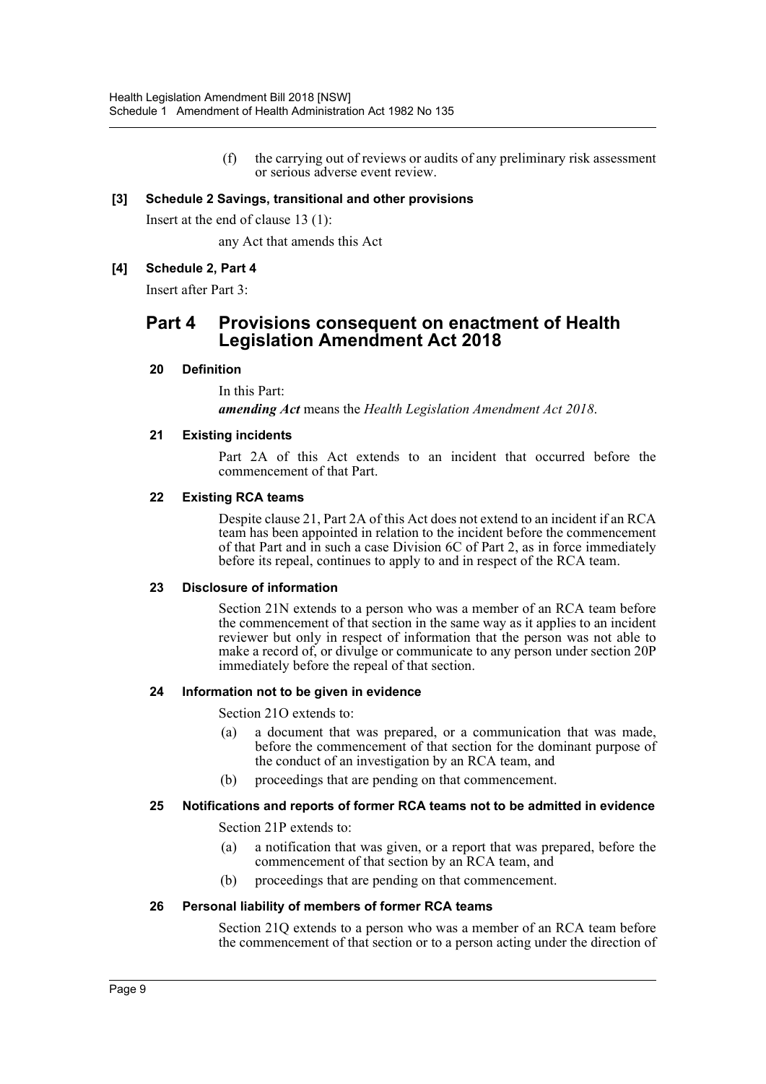(f) the carrying out of reviews or audits of any preliminary risk assessment or serious adverse event review.

# **[3] Schedule 2 Savings, transitional and other provisions**

Insert at the end of clause 13 (1):

any Act that amends this Act

# **[4] Schedule 2, Part 4**

Insert after Part 3:

# **Part 4 Provisions consequent on enactment of Health Legislation Amendment Act 2018**

## **20 Definition**

In this Part:

*amending Act* means the *Health Legislation Amendment Act 2018*.

## **21 Existing incidents**

Part 2A of this Act extends to an incident that occurred before the commencement of that Part.

#### **22 Existing RCA teams**

Despite clause 21, Part 2A of this Act does not extend to an incident if an RCA team has been appointed in relation to the incident before the commencement of that Part and in such a case Division 6C of Part 2, as in force immediately before its repeal, continues to apply to and in respect of the RCA team.

#### **23 Disclosure of information**

Section 21N extends to a person who was a member of an RCA team before the commencement of that section in the same way as it applies to an incident reviewer but only in respect of information that the person was not able to make a record of, or divulge or communicate to any person under section 20P immediately before the repeal of that section.

## **24 Information not to be given in evidence**

Section 21O extends to:

- (a) a document that was prepared, or a communication that was made, before the commencement of that section for the dominant purpose of the conduct of an investigation by an RCA team, and
- (b) proceedings that are pending on that commencement.

## **25 Notifications and reports of former RCA teams not to be admitted in evidence**

Section 21P extends to:

- (a) a notification that was given, or a report that was prepared, before the commencement of that section by an RCA team, and
- (b) proceedings that are pending on that commencement.

## **26 Personal liability of members of former RCA teams**

Section 21Q extends to a person who was a member of an RCA team before the commencement of that section or to a person acting under the direction of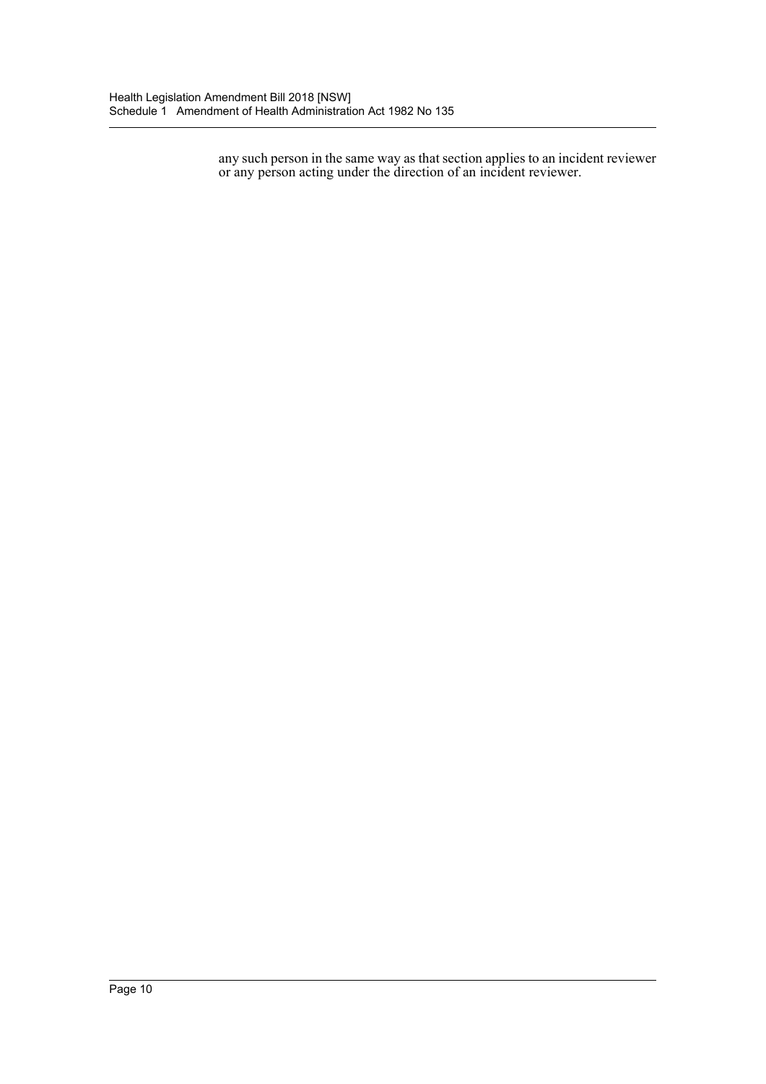any such person in the same way as that section applies to an incident reviewer or any person acting under the direction of an incident reviewer.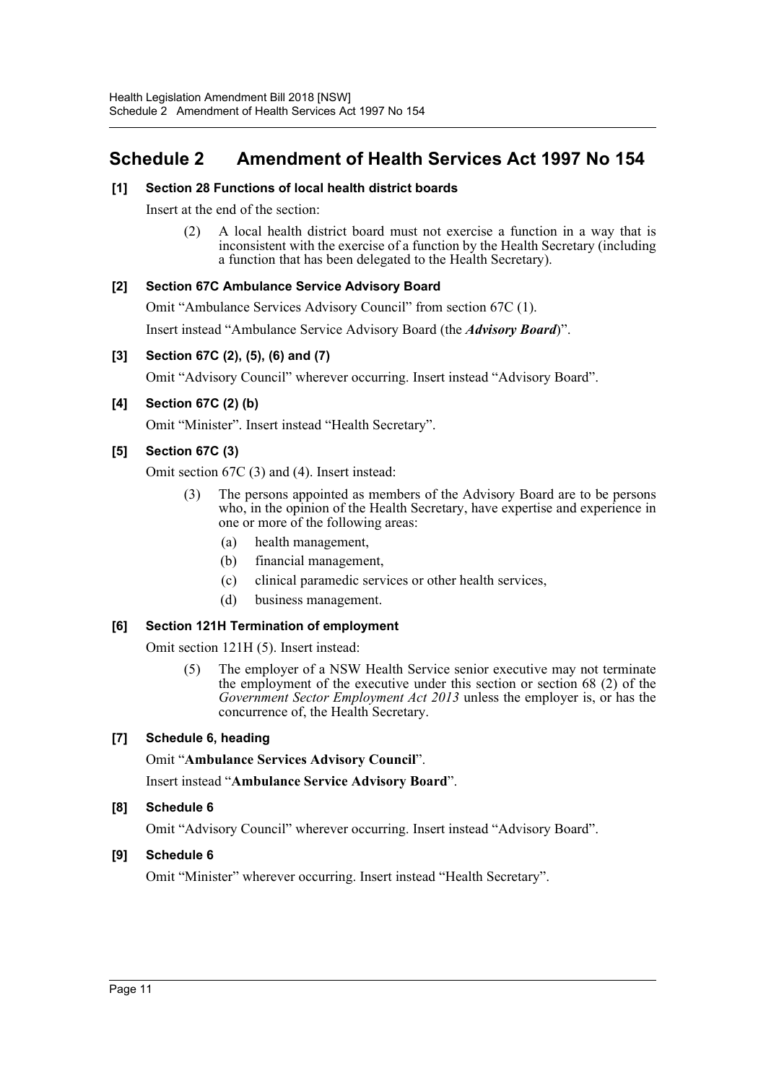# <span id="page-11-0"></span>**Schedule 2 Amendment of Health Services Act 1997 No 154**

# **[1] Section 28 Functions of local health district boards**

Insert at the end of the section:

(2) A local health district board must not exercise a function in a way that is inconsistent with the exercise of a function by the Health Secretary (including a function that has been delegated to the Health Secretary).

# **[2] Section 67C Ambulance Service Advisory Board**

Omit "Ambulance Services Advisory Council" from section 67C (1).

Insert instead "Ambulance Service Advisory Board (the *Advisory Board*)".

# **[3] Section 67C (2), (5), (6) and (7)**

Omit "Advisory Council" wherever occurring. Insert instead "Advisory Board".

# **[4] Section 67C (2) (b)**

Omit "Minister". Insert instead "Health Secretary".

# **[5] Section 67C (3)**

Omit section 67C (3) and (4). Insert instead:

- (3) The persons appointed as members of the Advisory Board are to be persons who, in the opinion of the Health Secretary, have expertise and experience in one or more of the following areas:
	- (a) health management,
	- (b) financial management,
	- (c) clinical paramedic services or other health services,
	- (d) business management.

# **[6] Section 121H Termination of employment**

Omit section 121H (5). Insert instead:

(5) The employer of a NSW Health Service senior executive may not terminate the employment of the executive under this section or section 68 (2) of the *Government Sector Employment Act 2013* unless the employer is, or has the concurrence of, the Health Secretary.

# **[7] Schedule 6, heading**

Omit "**Ambulance Services Advisory Council**".

Insert instead "**Ambulance Service Advisory Board**".

# **[8] Schedule 6**

Omit "Advisory Council" wherever occurring. Insert instead "Advisory Board".

# **[9] Schedule 6**

Omit "Minister" wherever occurring. Insert instead "Health Secretary".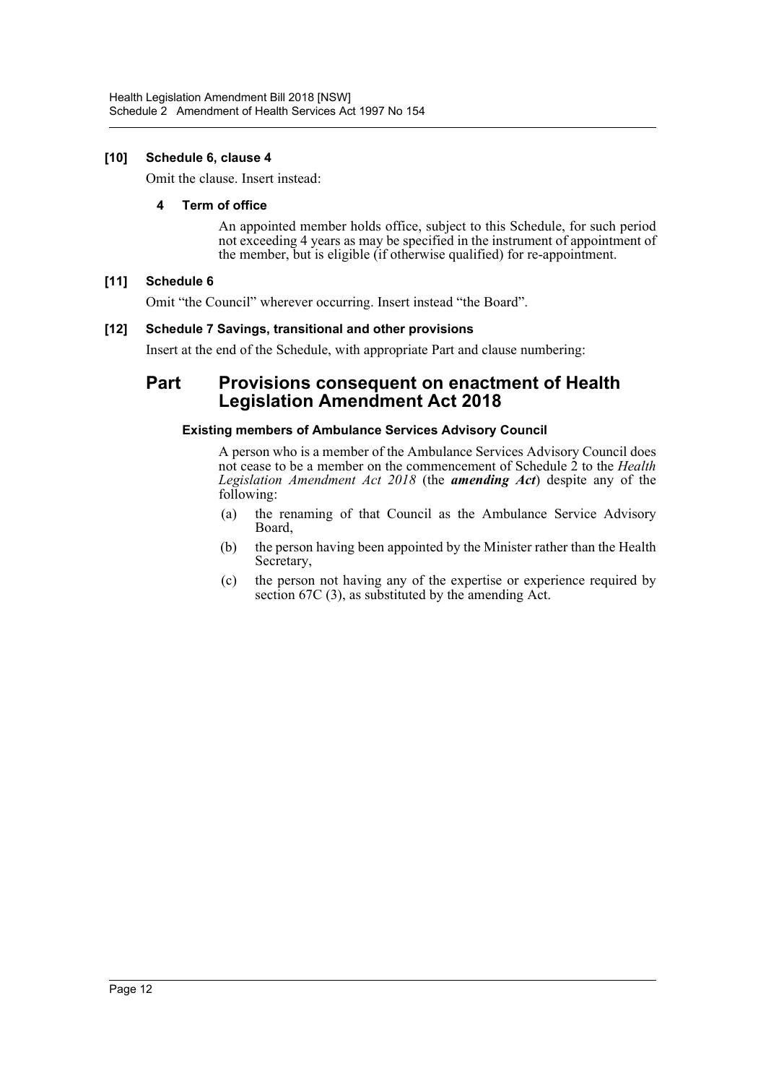# **[10] Schedule 6, clause 4**

Omit the clause. Insert instead:

# **4 Term of office**

An appointed member holds office, subject to this Schedule, for such period not exceeding 4 years as may be specified in the instrument of appointment of the member, but is eligible (if otherwise qualified) for re-appointment.

# **[11] Schedule 6**

Omit "the Council" wherever occurring. Insert instead "the Board".

# **[12] Schedule 7 Savings, transitional and other provisions**

Insert at the end of the Schedule, with appropriate Part and clause numbering:

# **Part Provisions consequent on enactment of Health Legislation Amendment Act 2018**

# **Existing members of Ambulance Services Advisory Council**

A person who is a member of the Ambulance Services Advisory Council does not cease to be a member on the commencement of Schedule 2 to the *Health Legislation Amendment Act 2018* (the *amending Act*) despite any of the following:

- (a) the renaming of that Council as the Ambulance Service Advisory Board,
- (b) the person having been appointed by the Minister rather than the Health Secretary,
- (c) the person not having any of the expertise or experience required by section 67C (3), as substituted by the amending Act.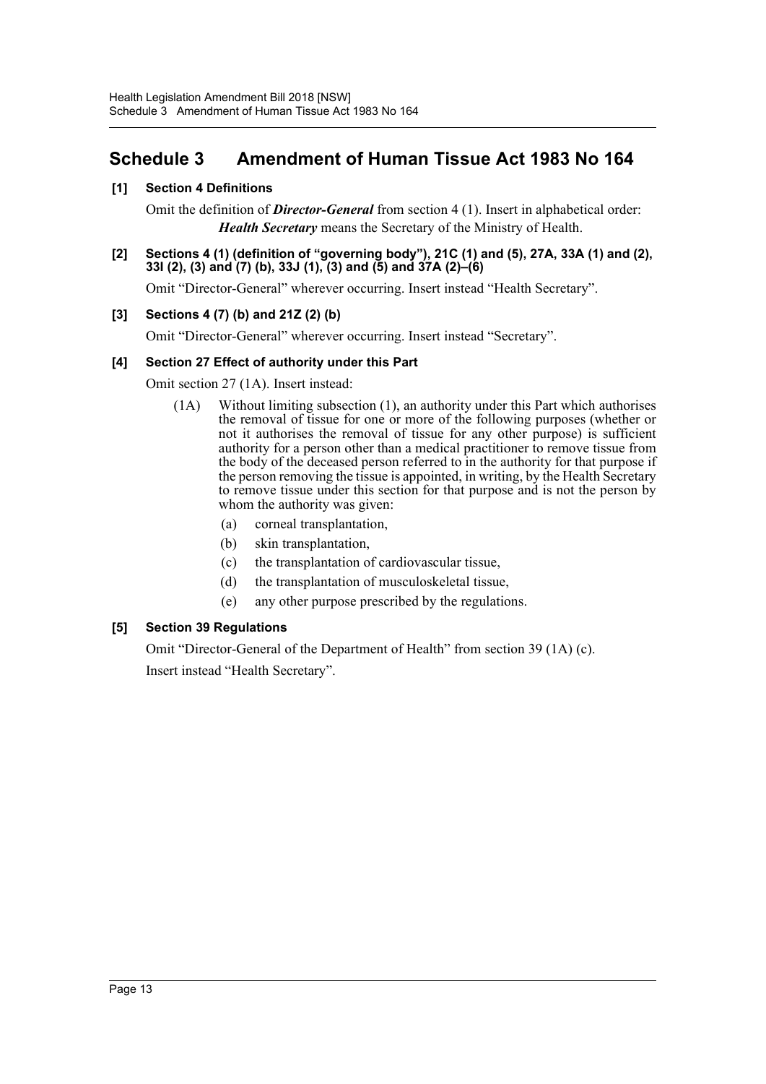# <span id="page-13-0"></span>**Schedule 3 Amendment of Human Tissue Act 1983 No 164**

# **[1] Section 4 Definitions**

Omit the definition of *Director-General* from section 4 (1). Insert in alphabetical order: *Health Secretary* means the Secretary of the Ministry of Health.

## **[2] Sections 4 (1) (definition of "governing body"), 21C (1) and (5), 27A, 33A (1) and (2), 33I (2), (3) and (7) (b), 33J (1), (3) and (5) and 37A (2)–(6)**

Omit "Director-General" wherever occurring. Insert instead "Health Secretary".

# **[3] Sections 4 (7) (b) and 21Z (2) (b)**

Omit "Director-General" wherever occurring. Insert instead "Secretary".

# **[4] Section 27 Effect of authority under this Part**

Omit section 27 (1A). Insert instead:

- (1A) Without limiting subsection (1), an authority under this Part which authorises the removal of tissue for one or more of the following purposes (whether or not it authorises the removal of tissue for any other purpose) is sufficient authority for a person other than a medical practitioner to remove tissue from the body of the deceased person referred to in the authority for that purpose if the person removing the tissue is appointed, in writing, by the Health Secretary to remove tissue under this section for that purpose and is not the person by whom the authority was given:
	- (a) corneal transplantation,
	- (b) skin transplantation,
	- (c) the transplantation of cardiovascular tissue,
	- (d) the transplantation of musculoskeletal tissue,
	- (e) any other purpose prescribed by the regulations.

# **[5] Section 39 Regulations**

Omit "Director-General of the Department of Health" from section 39 (1A) (c). Insert instead "Health Secretary".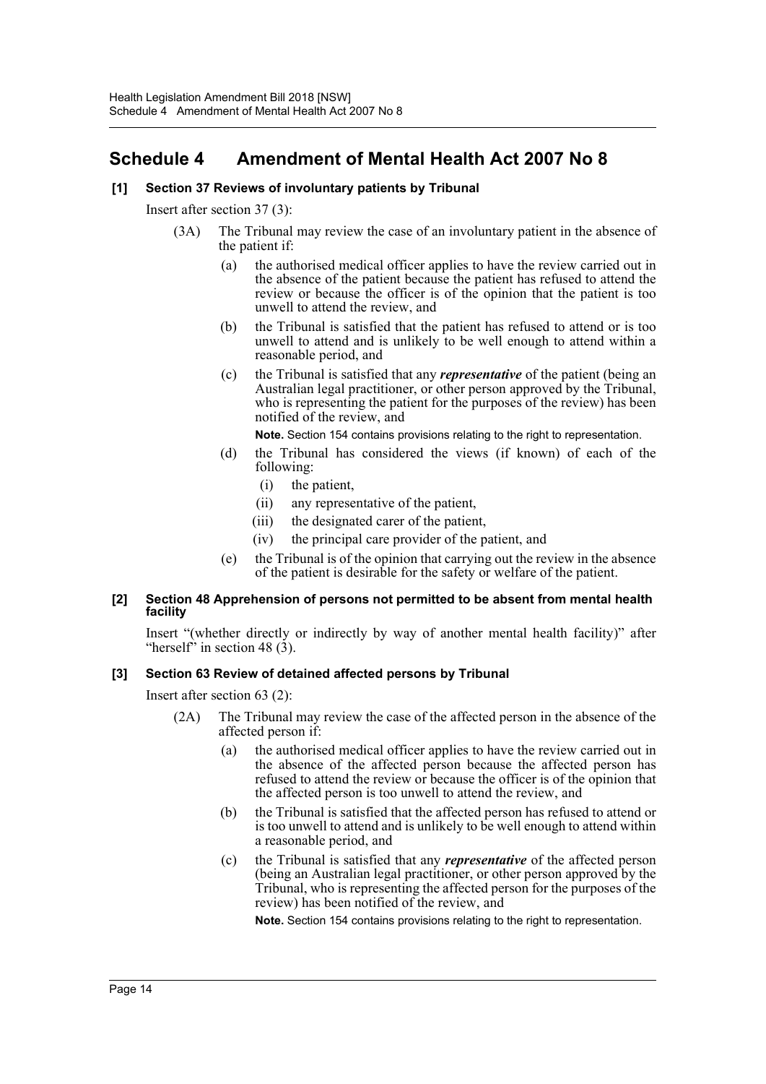# <span id="page-14-0"></span>**Schedule 4 Amendment of Mental Health Act 2007 No 8**

# **[1] Section 37 Reviews of involuntary patients by Tribunal**

Insert after section 37 (3):

- (3A) The Tribunal may review the case of an involuntary patient in the absence of the patient if:
	- (a) the authorised medical officer applies to have the review carried out in the absence of the patient because the patient has refused to attend the review or because the officer is of the opinion that the patient is too unwell to attend the review, and
	- (b) the Tribunal is satisfied that the patient has refused to attend or is too unwell to attend and is unlikely to be well enough to attend within a reasonable period, and
	- (c) the Tribunal is satisfied that any *representative* of the patient (being an Australian legal practitioner, or other person approved by the Tribunal, who is representing the patient for the purposes of the review) has been notified of the review, and

**Note.** Section 154 contains provisions relating to the right to representation.

- (d) the Tribunal has considered the views (if known) of each of the following:
	- (i) the patient,
	- (ii) any representative of the patient,
	- (iii) the designated carer of the patient,
	- (iv) the principal care provider of the patient, and
- (e) the Tribunal is of the opinion that carrying out the review in the absence of the patient is desirable for the safety or welfare of the patient.

## **[2] Section 48 Apprehension of persons not permitted to be absent from mental health facility**

Insert "(whether directly or indirectly by way of another mental health facility)" after "herself" in section 48  $(3)$ .

## **[3] Section 63 Review of detained affected persons by Tribunal**

Insert after section 63 (2):

- (2A) The Tribunal may review the case of the affected person in the absence of the affected person if:
	- (a) the authorised medical officer applies to have the review carried out in the absence of the affected person because the affected person has refused to attend the review or because the officer is of the opinion that the affected person is too unwell to attend the review, and
	- (b) the Tribunal is satisfied that the affected person has refused to attend or is too unwell to attend and is unlikely to be well enough to attend within a reasonable period, and
	- (c) the Tribunal is satisfied that any *representative* of the affected person (being an Australian legal practitioner, or other person approved by the Tribunal, who is representing the affected person for the purposes of the review) has been notified of the review, and

**Note.** Section 154 contains provisions relating to the right to representation.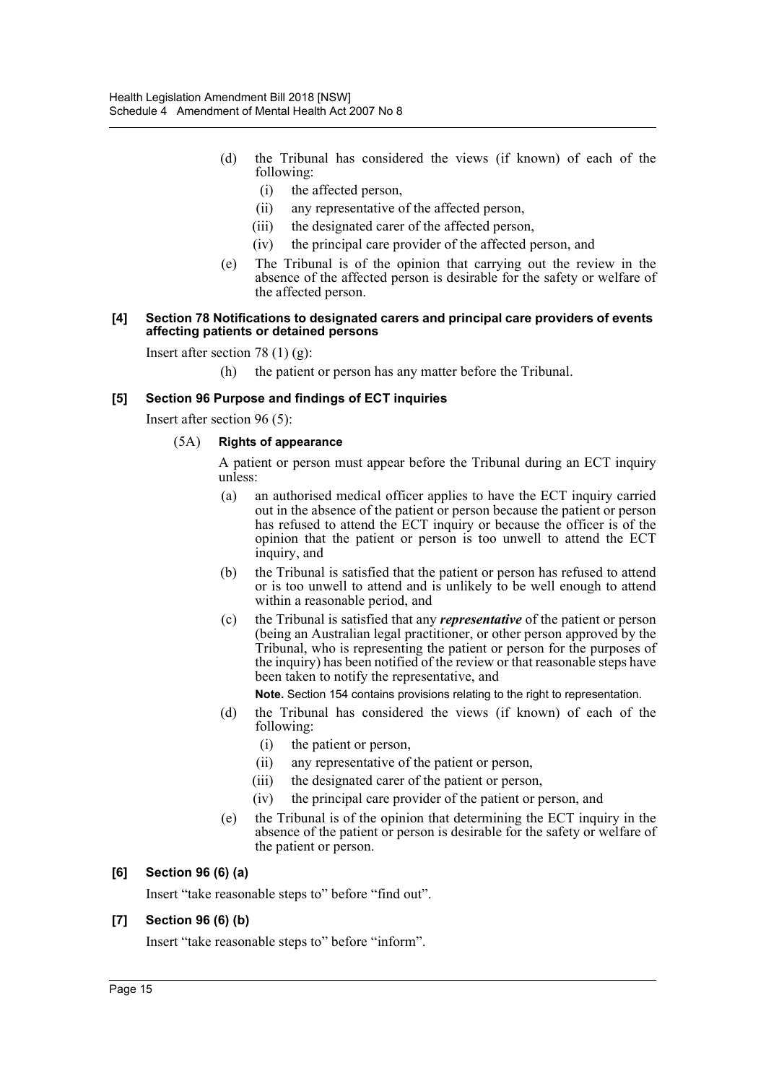- (d) the Tribunal has considered the views (if known) of each of the following:
	- (i) the affected person,
	- (ii) any representative of the affected person,
	- (iii) the designated carer of the affected person,
	- (iv) the principal care provider of the affected person, and
- (e) The Tribunal is of the opinion that carrying out the review in the absence of the affected person is desirable for the safety or welfare of the affected person.

#### **[4] Section 78 Notifications to designated carers and principal care providers of events affecting patients or detained persons**

Insert after section 78  $(1)$   $(g)$ :

(h) the patient or person has any matter before the Tribunal.

# **[5] Section 96 Purpose and findings of ECT inquiries**

Insert after section 96 (5):

## (5A) **Rights of appearance**

A patient or person must appear before the Tribunal during an ECT inquiry unless:

- (a) an authorised medical officer applies to have the ECT inquiry carried out in the absence of the patient or person because the patient or person has refused to attend the ECT inquiry or because the officer is of the opinion that the patient or person is too unwell to attend the ECT inquiry, and
- (b) the Tribunal is satisfied that the patient or person has refused to attend or is too unwell to attend and is unlikely to be well enough to attend within a reasonable period, and
- (c) the Tribunal is satisfied that any *representative* of the patient or person (being an Australian legal practitioner, or other person approved by the Tribunal, who is representing the patient or person for the purposes of the inquiry) has been notified of the review or that reasonable steps have been taken to notify the representative, and

**Note.** Section 154 contains provisions relating to the right to representation.

- (d) the Tribunal has considered the views (if known) of each of the following:
	- (i) the patient or person,
	- (ii) any representative of the patient or person,
	- (iii) the designated carer of the patient or person,
	- (iv) the principal care provider of the patient or person, and
- (e) the Tribunal is of the opinion that determining the ECT inquiry in the absence of the patient or person is desirable for the safety or welfare of the patient or person.

## **[6] Section 96 (6) (a)**

Insert "take reasonable steps to" before "find out".

## **[7] Section 96 (6) (b)**

Insert "take reasonable steps to" before "inform".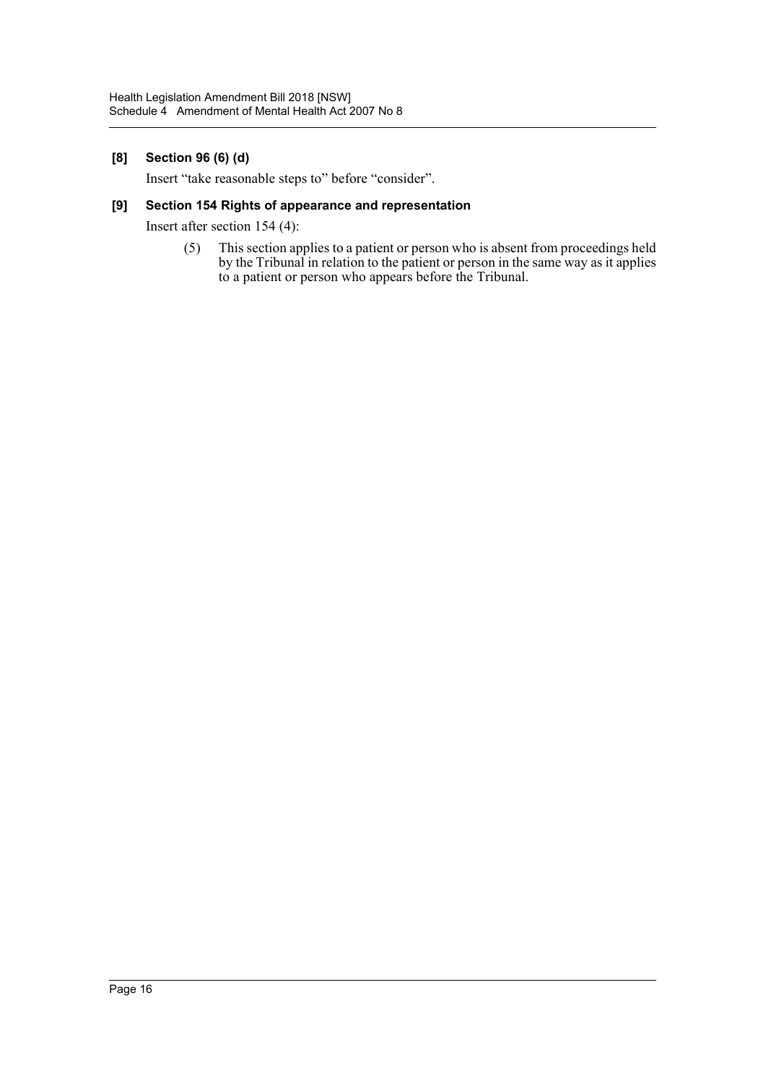# **[8] Section 96 (6) (d)**

Insert "take reasonable steps to" before "consider".

# **[9] Section 154 Rights of appearance and representation**

Insert after section 154 (4):

(5) This section applies to a patient or person who is absent from proceedings held by the Tribunal in relation to the patient or person in the same way as it applies to a patient or person who appears before the Tribunal.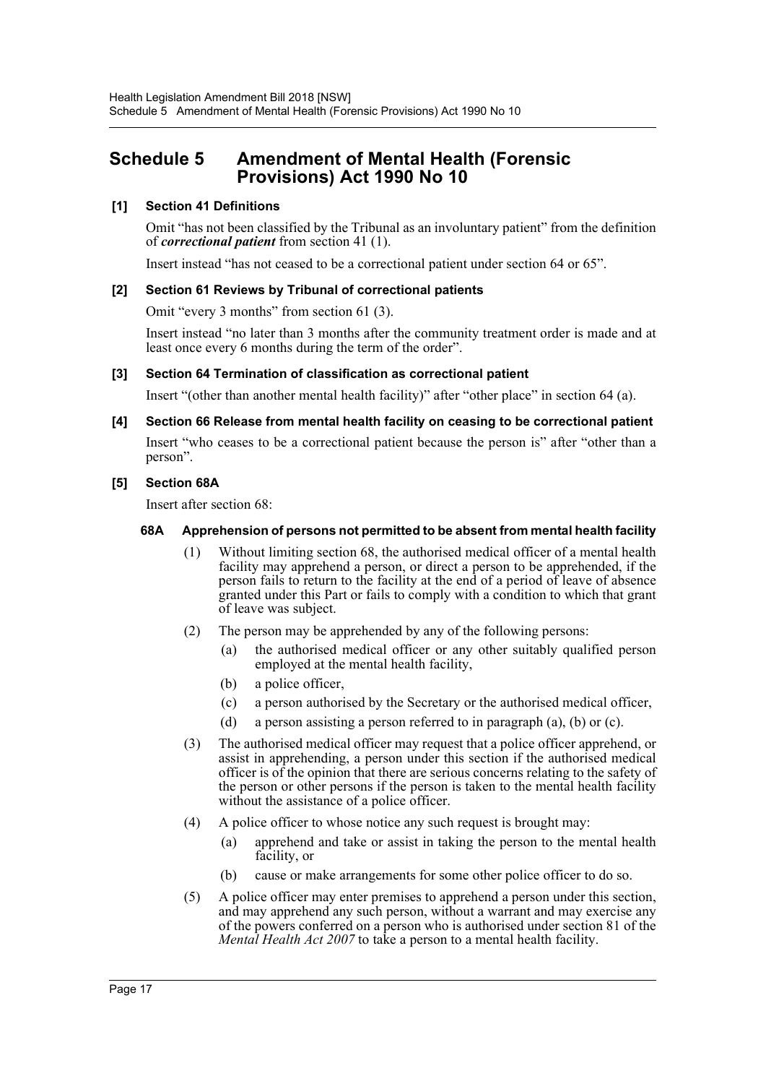# <span id="page-17-0"></span>**Schedule 5 Amendment of Mental Health (Forensic Provisions) Act 1990 No 10**

# **[1] Section 41 Definitions**

Omit "has not been classified by the Tribunal as an involuntary patient" from the definition of *correctional patient* from section 41 (1).

Insert instead "has not ceased to be a correctional patient under section 64 or 65".

## **[2] Section 61 Reviews by Tribunal of correctional patients**

Omit "every 3 months" from section 61 (3).

Insert instead "no later than 3 months after the community treatment order is made and at least once every 6 months during the term of the order".

## **[3] Section 64 Termination of classification as correctional patient**

Insert "(other than another mental health facility)" after "other place" in section 64 (a).

# **[4] Section 66 Release from mental health facility on ceasing to be correctional patient**

Insert "who ceases to be a correctional patient because the person is" after "other than a person".

## **[5] Section 68A**

Insert after section 68:

## **68A Apprehension of persons not permitted to be absent from mental health facility**

- (1) Without limiting section 68, the authorised medical officer of a mental health facility may apprehend a person, or direct a person to be apprehended, if the person fails to return to the facility at the end of a period of leave of absence granted under this Part or fails to comply with a condition to which that grant of leave was subject.
- (2) The person may be apprehended by any of the following persons:
	- (a) the authorised medical officer or any other suitably qualified person employed at the mental health facility,
	- (b) a police officer,
	- (c) a person authorised by the Secretary or the authorised medical officer,
	- (d) a person assisting a person referred to in paragraph (a), (b) or (c).
- (3) The authorised medical officer may request that a police officer apprehend, or assist in apprehending, a person under this section if the authorised medical officer is of the opinion that there are serious concerns relating to the safety of the person or other persons if the person is taken to the mental health facility without the assistance of a police officer.
- (4) A police officer to whose notice any such request is brought may:
	- (a) apprehend and take or assist in taking the person to the mental health facility, or
	- (b) cause or make arrangements for some other police officer to do so.
- (5) A police officer may enter premises to apprehend a person under this section, and may apprehend any such person, without a warrant and may exercise any of the powers conferred on a person who is authorised under section 81 of the *Mental Health Act 2007* to take a person to a mental health facility.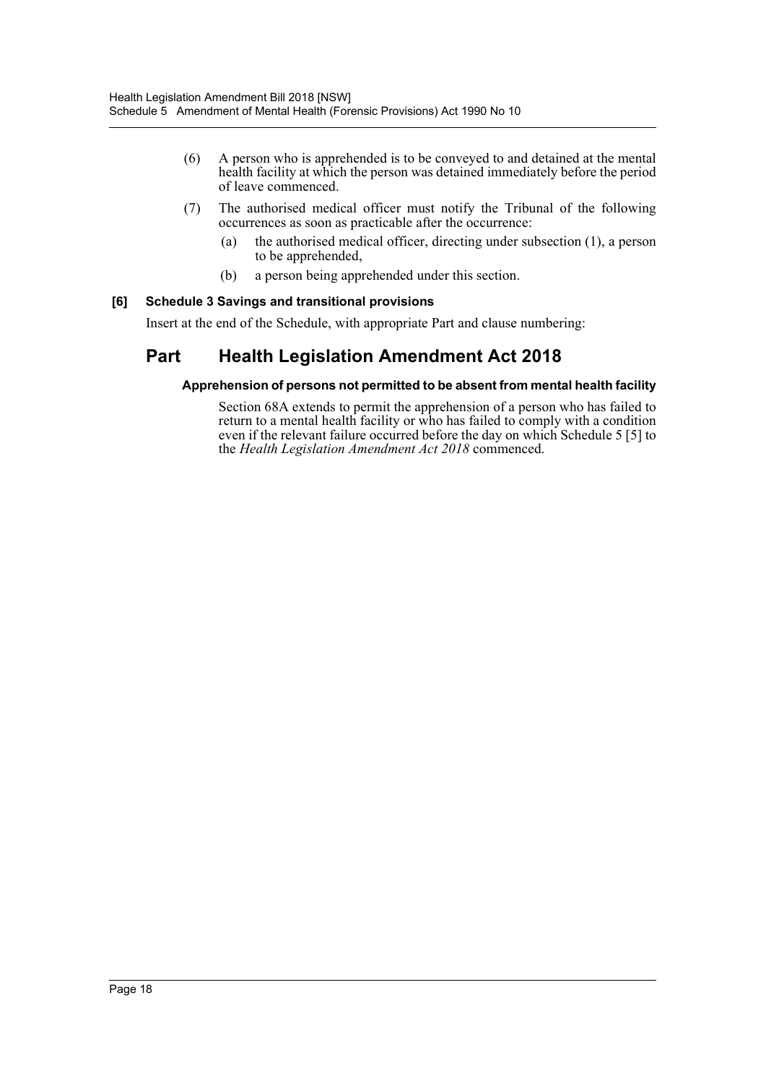- (6) A person who is apprehended is to be conveyed to and detained at the mental health facility at which the person was detained immediately before the period of leave commenced.
- (7) The authorised medical officer must notify the Tribunal of the following occurrences as soon as practicable after the occurrence:
	- (a) the authorised medical officer, directing under subsection (1), a person to be apprehended,
	- (b) a person being apprehended under this section.

# **[6] Schedule 3 Savings and transitional provisions**

Insert at the end of the Schedule, with appropriate Part and clause numbering:

# **Part Health Legislation Amendment Act 2018**

## **Apprehension of persons not permitted to be absent from mental health facility**

Section 68A extends to permit the apprehension of a person who has failed to return to a mental health facility or who has failed to comply with a condition even if the relevant failure occurred before the day on which Schedule 5 [5] to the *Health Legislation Amendment Act 2018* commenced.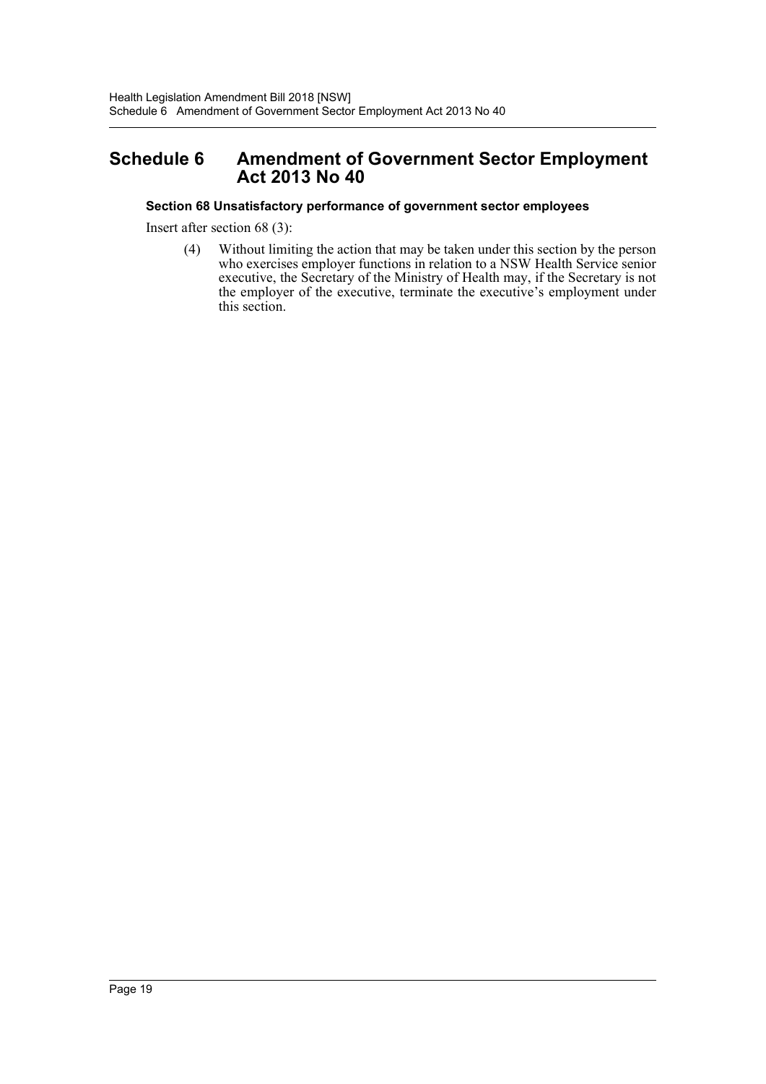# <span id="page-19-0"></span>**Schedule 6 Amendment of Government Sector Employment Act 2013 No 40**

# **Section 68 Unsatisfactory performance of government sector employees**

Insert after section 68 (3):

(4) Without limiting the action that may be taken under this section by the person who exercises employer functions in relation to a NSW Health Service senior executive, the Secretary of the Ministry of Health may, if the Secretary is not the employer of the executive, terminate the executive's employment under this section.